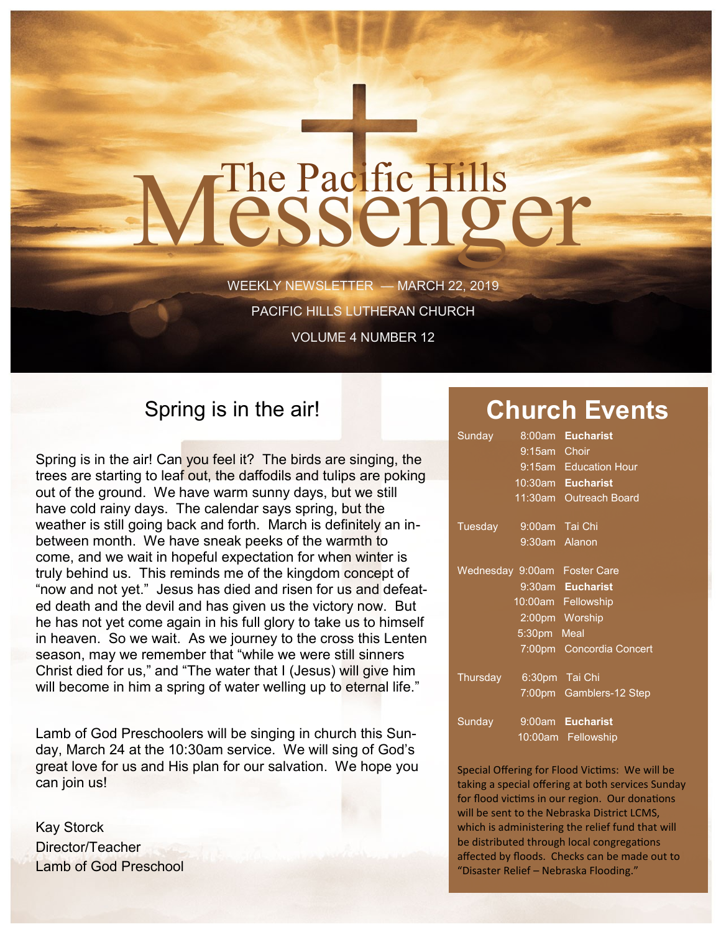# The Pacific Hills<br>CSSCNOCT

WEEKLY NEWSLETTER — MARCH 22, 2019 PACIFIC HILLS LUTHERAN CHURCH VOLUME 4 NUMBER 12

### Spring is in the air!

Spring is in the air! Can you feel it? The birds are singing, the trees are starting to leaf out, the daffodils and tulips are poking out of the ground. We have warm sunny days, but we still have cold rainy days. The calendar says spring, but the weather is still going back and forth. March is definitely an inbetween month. We have sneak peeks of the warmth to come, and we wait in hopeful expectation for when winter is truly behind us. This reminds me of the kingdom concept of "now and not yet." Jesus has died and risen for us and defeated death and the devil and has given us the victory now. But he has not yet come again in his full glory to take us to himself in heaven. So we wait. As we journey to the cross this Lenten season, may we remember that "while we were still sinners Christ died for us," and "The water that I (Jesus) will give him will become in him a spring of water welling up to eternal life."

Lamb of God Preschoolers will be singing in church this Sunday, March 24 at the 10:30am service. We will sing of God's great love for us and His plan for our salvation. We hope you can join us!

Kay Storck Director/Teacher Lamb of God Preschool

## **Church Events**

| Sunday           | 8:00am             | <b>Eucharist</b>         |
|------------------|--------------------|--------------------------|
|                  | 9:15am             | Choir                    |
|                  |                    | 9:15am Education Hour    |
|                  | 10:30am            | <b>Eucharist</b>         |
|                  | $11:30$ am         | <b>Outreach Board</b>    |
|                  |                    |                          |
| Tuesday          | 9:00am             | Tai Chi                  |
|                  | 9:30am Alanon      |                          |
|                  |                    |                          |
| Wednesday 9:00am |                    | <b>Foster Care</b>       |
|                  |                    | 9:30am Eucharist         |
|                  |                    | 10:00am Fellowship       |
|                  |                    | 2:00pm Worship           |
|                  | 5:30 <sub>pm</sub> | Meal                     |
|                  |                    | 7:00pm Concordia Concert |
|                  |                    |                          |
| Thursday         |                    | 6:30pm Tai Chi           |
|                  |                    | 7:00pm Gamblers-12 Step  |
| Sunday           | 9:00am             | <b>Eucharist</b>         |
|                  | $10:00$ am         | Fellowship               |
|                  |                    |                          |

Special Offering for Flood Victims: We will be taking a special offering at both services Sunday for flood victims in our region. Our donations will be sent to the Nebraska District LCMS, which is administering the relief fund that will be distributed through local congregations affected by floods. Checks can be made out to "Disaster Relief – Nebraska Flooding."